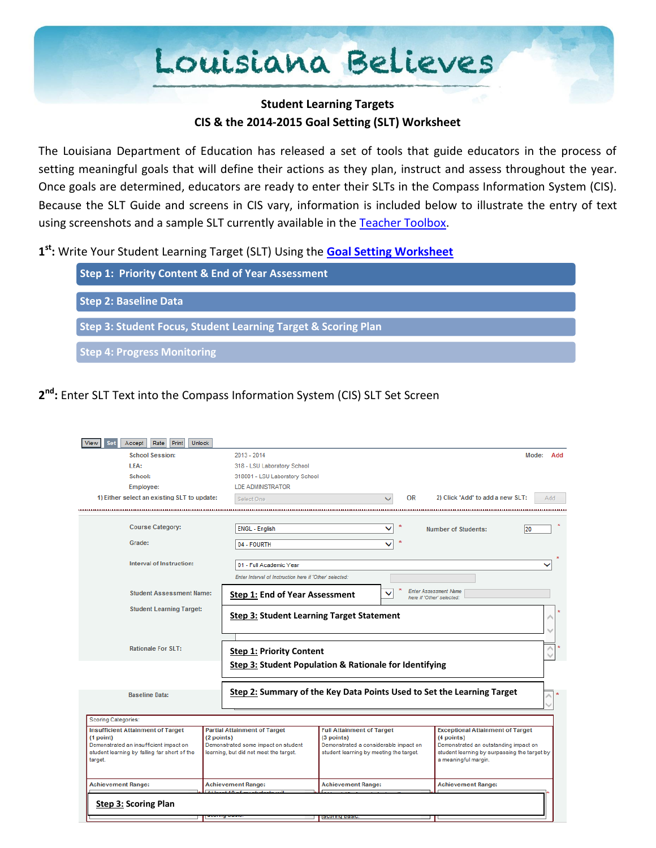# Louisiana Believes

#### **Student Learning Targets CIS & the 2014-2015 Goal Setting (SLT) Worksheet**

The Louisiana Department of Education has released a set of tools that guide educators in the process of setting meaningful goals that will define their actions as they plan, instruct and assess throughout the year. Once goals are determined, educators are ready to enter their SLTs in the Compass Information System (CIS). Because the SLT Guide and screens in CIS vary, information is included below to illustrate the entry of text using screenshots and a sample SLT currently available in the [Teacher Toolbox.](http://www.louisianabelieves.com/resources/classroom-support-toolbox/teacher-support-toolbox/student-learning-targets)

**1 st:** Write Your Student Learning Target (SLT) Using the **[Goal Setting Worksheet](http://www.louisianabelieves.com/docs/default-source/teaching/2014-2015-student-learning-target-guide.pdf?sfvrsn=2)**



### **2 nd :** Enter SLT Text into the Compass Information System (CIS) SLT Set Screen

| Rate<br><b>Print</b><br><b>Unlock</b><br>View<br>Set<br>Accept |                                                                        |                                                        |                                         |                                                                                       |                      |  |  |
|----------------------------------------------------------------|------------------------------------------------------------------------|--------------------------------------------------------|-----------------------------------------|---------------------------------------------------------------------------------------|----------------------|--|--|
| <b>School Session:</b>                                         | $2013 - 2014$                                                          |                                                        |                                         |                                                                                       | Mode:<br>Add         |  |  |
| LEA:                                                           | 318 - LSU Laboratory School                                            |                                                        |                                         |                                                                                       |                      |  |  |
| School:                                                        | 318001 - LSU Laboratory School                                         |                                                        |                                         |                                                                                       |                      |  |  |
| <b>Employee:</b>                                               | <b>LDE ADMINISTRATOR</b>                                               |                                                        |                                         |                                                                                       |                      |  |  |
| 1) Either select an existing SLT to update:                    | Select One                                                             |                                                        | 0R                                      | 2) Click 'Add' to add a new SLT:                                                      | Add                  |  |  |
|                                                                |                                                                        |                                                        |                                         | <u></u>                                                                               |                      |  |  |
|                                                                |                                                                        |                                                        | 大                                       |                                                                                       |                      |  |  |
| <b>Course Category:</b>                                        | <b>ENGL - English</b>                                                  |                                                        | ◡                                       | <b>Number of Students:</b>                                                            | 20                   |  |  |
| Grade:                                                         | 04 - FOURTH                                                            |                                                        |                                         |                                                                                       |                      |  |  |
|                                                                |                                                                        |                                                        |                                         |                                                                                       |                      |  |  |
| Interval of Instruction:                                       | 01 - Full Academic Year                                                |                                                        |                                         |                                                                                       |                      |  |  |
|                                                                | Enter Interval of Instruction here if 'Other' selected:                |                                                        |                                         |                                                                                       |                      |  |  |
| <b>Student Assessment Name:</b>                                | <b>Step 1: End of Year Assessment</b>                                  |                                                        |                                         | <b>Enter Assessment Name</b><br>here if 'Other' selected:                             |                      |  |  |
| <b>Student Learning Target:</b>                                |                                                                        |                                                        |                                         |                                                                                       |                      |  |  |
|                                                                | <b>Step 3: Student Learning Target Statement</b>                       |                                                        |                                         |                                                                                       |                      |  |  |
|                                                                |                                                                        |                                                        |                                         |                                                                                       |                      |  |  |
|                                                                |                                                                        |                                                        |                                         |                                                                                       |                      |  |  |
| <b>Rationale For SLT:</b>                                      |                                                                        | <b>Step 1: Priority Content</b>                        |                                         |                                                                                       |                      |  |  |
|                                                                |                                                                        | Step 3: Student Population & Rationale for Identifying |                                         |                                                                                       |                      |  |  |
|                                                                |                                                                        |                                                        |                                         |                                                                                       |                      |  |  |
|                                                                |                                                                        |                                                        |                                         |                                                                                       |                      |  |  |
| <b>Baseline Data:</b>                                          | Step 2: Summary of the Key Data Points Used to Set the Learning Target |                                                        |                                         |                                                                                       |                      |  |  |
|                                                                |                                                                        |                                                        |                                         |                                                                                       |                      |  |  |
| <b>Scoring Categories:</b>                                     |                                                                        |                                                        |                                         |                                                                                       |                      |  |  |
| <b>Insufficient Attainment of Target</b>                       | <b>Partial Attainment of Target</b>                                    | <b>Full Attainment of Target</b>                       |                                         | <b>Exceptional Attainment of Target</b>                                               |                      |  |  |
| (1 point)                                                      | (2 points)                                                             | (3 points)                                             |                                         | (4 points)                                                                            |                      |  |  |
| Demonstrated an insufficient impact on                         | Demonstrated some impact on student                                    | Demonstrated a considerable impact on                  |                                         | Demonstrated an outstanding impact on<br>student learning by surpassing the target by |                      |  |  |
| student learning by falling far short of the<br>target.        | learning, but did not meet the target.                                 |                                                        | student learning by meeting the target. |                                                                                       | a meaningful margin. |  |  |
|                                                                |                                                                        |                                                        |                                         |                                                                                       |                      |  |  |
| <b>Achievement Range:</b>                                      | <b>Achievement Range:</b>                                              | <b>Achievement Range:</b>                              |                                         | <b>Achievement Range:</b>                                                             |                      |  |  |
|                                                                | It logat 10 of my atudante wi                                          |                                                        |                                         |                                                                                       |                      |  |  |
| <b>Step 3: Scoring Plan</b>                                    |                                                                        |                                                        |                                         |                                                                                       |                      |  |  |
|                                                                |                                                                        | <b>SCOLIDA DASIC</b>                                   |                                         |                                                                                       |                      |  |  |
|                                                                |                                                                        |                                                        |                                         |                                                                                       |                      |  |  |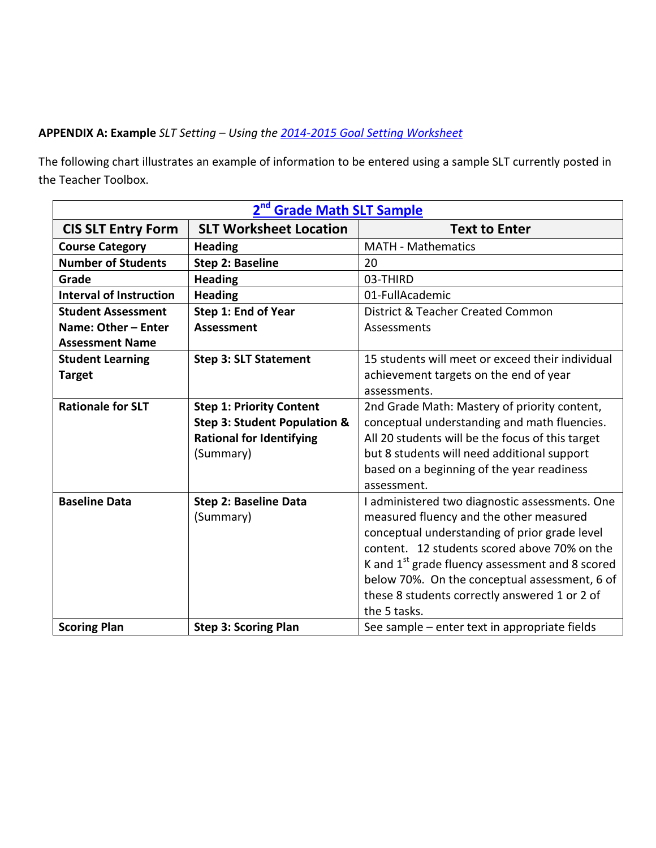#### **APPENDIX A: Example** *SLT Setting – Using the [2014-2015 Goal](http://www.louisianabelieves.com/docs/default-source/teaching/2014-2015-student-learning-target-guide.pdf?sfvrsn=2) Setting Worksheet*

The following chart illustrates an example of information to be entered using a sample SLT currently posted in the Teacher Toolbox.

| <b>Grade Math SLT Sample</b>   |                                         |                                                             |  |  |  |  |
|--------------------------------|-----------------------------------------|-------------------------------------------------------------|--|--|--|--|
| <b>CIS SLT Entry Form</b>      | <b>SLT Worksheet Location</b>           | <b>Text to Enter</b>                                        |  |  |  |  |
| <b>Course Category</b>         | <b>Heading</b>                          | <b>MATH - Mathematics</b>                                   |  |  |  |  |
| <b>Number of Students</b>      | <b>Step 2: Baseline</b>                 | 20                                                          |  |  |  |  |
| Grade                          | <b>Heading</b>                          | 03-THIRD                                                    |  |  |  |  |
| <b>Interval of Instruction</b> | <b>Heading</b>                          | 01-FullAcademic                                             |  |  |  |  |
| <b>Student Assessment</b>      | Step 1: End of Year                     | District & Teacher Created Common                           |  |  |  |  |
| Name: Other - Enter            | <b>Assessment</b>                       | Assessments                                                 |  |  |  |  |
| <b>Assessment Name</b>         |                                         |                                                             |  |  |  |  |
| <b>Student Learning</b>        | <b>Step 3: SLT Statement</b>            | 15 students will meet or exceed their individual            |  |  |  |  |
| <b>Target</b>                  |                                         | achievement targets on the end of year                      |  |  |  |  |
|                                |                                         | assessments.                                                |  |  |  |  |
| <b>Rationale for SLT</b>       | <b>Step 1: Priority Content</b>         | 2nd Grade Math: Mastery of priority content,                |  |  |  |  |
|                                | <b>Step 3: Student Population &amp;</b> | conceptual understanding and math fluencies.                |  |  |  |  |
|                                | <b>Rational for Identifying</b>         | All 20 students will be the focus of this target            |  |  |  |  |
|                                | (Summary)                               | but 8 students will need additional support                 |  |  |  |  |
|                                |                                         | based on a beginning of the year readiness                  |  |  |  |  |
|                                |                                         | assessment.                                                 |  |  |  |  |
| <b>Baseline Data</b>           | <b>Step 2: Baseline Data</b>            | I administered two diagnostic assessments. One              |  |  |  |  |
|                                | (Summary)                               | measured fluency and the other measured                     |  |  |  |  |
|                                |                                         | conceptual understanding of prior grade level               |  |  |  |  |
|                                |                                         | content. 12 students scored above 70% on the                |  |  |  |  |
|                                |                                         | K and 1 <sup>st</sup> grade fluency assessment and 8 scored |  |  |  |  |
|                                |                                         | below 70%. On the conceptual assessment, 6 of               |  |  |  |  |
|                                |                                         | these 8 students correctly answered 1 or 2 of               |  |  |  |  |
|                                |                                         | the 5 tasks.                                                |  |  |  |  |
| <b>Scoring Plan</b>            | <b>Step 3: Scoring Plan</b>             | See sample – enter text in appropriate fields               |  |  |  |  |